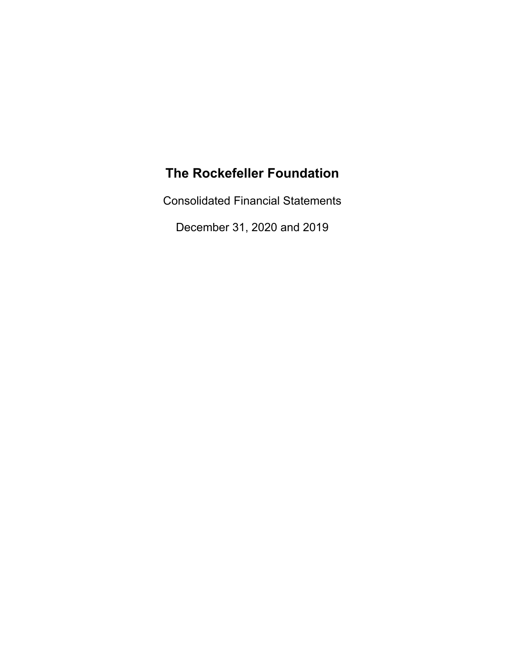Consolidated Financial Statements

December 31, 2020 and 2019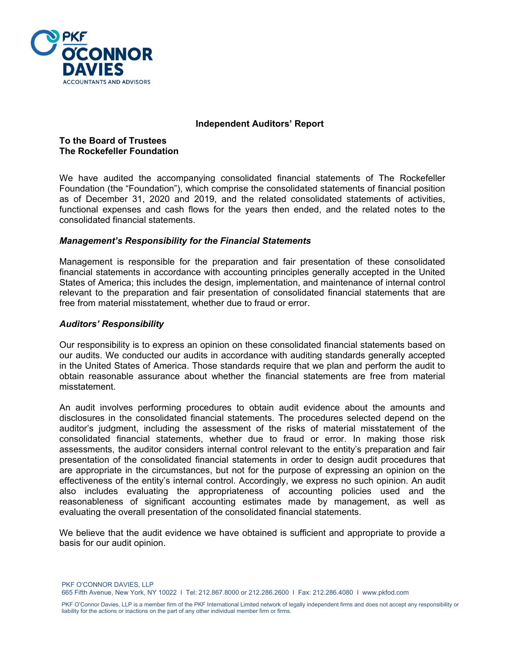

#### **Independent Auditors' Report**

# **To the Board of Trustees The Rockefeller Foundation**

We have audited the accompanying consolidated financial statements of The Rockefeller Foundation (the "Foundation"), which comprise the consolidated statements of financial position as of December 31, 2020 and 2019, and the related consolidated statements of activities, functional expenses and cash flows for the years then ended, and the related notes to the consolidated financial statements.

## *Management's Responsibility for the Financial Statements*

Management is responsible for the preparation and fair presentation of these consolidated financial statements in accordance with accounting principles generally accepted in the United States of America; this includes the design, implementation, and maintenance of internal control relevant to the preparation and fair presentation of consolidated financial statements that are free from material misstatement, whether due to fraud or error.

## *Auditors' Responsibility*

Our responsibility is to express an opinion on these consolidated financial statements based on our audits. We conducted our audits in accordance with auditing standards generally accepted in the United States of America. Those standards require that we plan and perform the audit to obtain reasonable assurance about whether the financial statements are free from material misstatement.

An audit involves performing procedures to obtain audit evidence about the amounts and disclosures in the consolidated financial statements. The procedures selected depend on the auditor's judgment, including the assessment of the risks of material misstatement of the consolidated financial statements, whether due to fraud or error. In making those risk assessments, the auditor considers internal control relevant to the entity's preparation and fair presentation of the consolidated financial statements in order to design audit procedures that are appropriate in the circumstances, but not for the purpose of expressing an opinion on the effectiveness of the entity's internal control. Accordingly, we express no such opinion. An audit also includes evaluating the appropriateness of accounting policies used and the reasonableness of significant accounting estimates made by management, as well as evaluating the overall presentation of the consolidated financial statements.

We believe that the audit evidence we have obtained is sufficient and appropriate to provide a basis for our audit opinion.

PKF O'CONNOR DAVIES, LLP 665 Fifth Avenue, New York, NY 10022 I Tel: 212.867.8000 or 212.286.2600 I Fax: 212.286.4080 I www.pkfod.com

PKF O'Connor Davies, LLP is a member firm of the PKF International Limited network of legally independent firms and does not accept any responsibility or liability for the actions or inactions on the part of any other individual member firm or firms.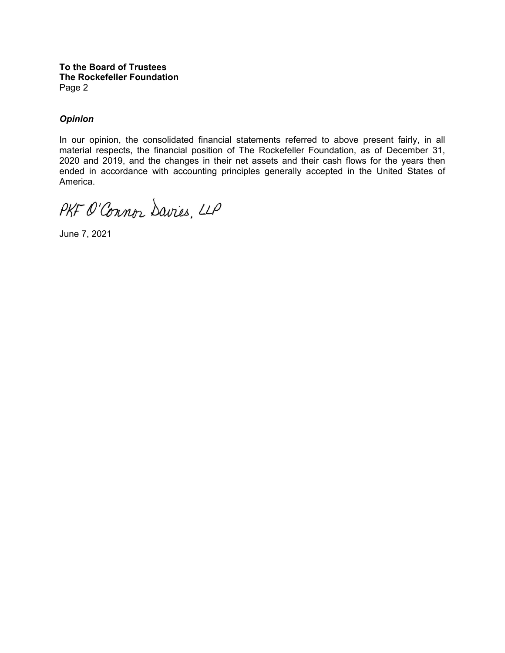**To the Board of Trustees The Rockefeller Foundation**  Page 2

# *Opinion*

In our opinion, the consolidated financial statements referred to above present fairly, in all material respects, the financial position of The Rockefeller Foundation, as of December 31, 2020 and 2019, and the changes in their net assets and their cash flows for the years then ended in accordance with accounting principles generally accepted in the United States of America.

PKF O'Connor Davies, LLP

June 7, 2021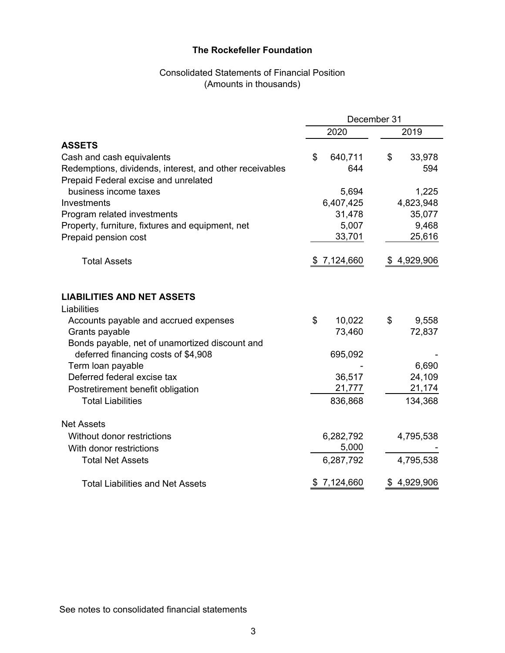# Consolidated Statements of Financial Position (Amounts in thousands)

|                                                               |               | December 31     |
|---------------------------------------------------------------|---------------|-----------------|
|                                                               | 2020          | 2019            |
| <b>ASSETS</b>                                                 |               |                 |
| Cash and cash equivalents                                     | \$<br>640,711 | \$<br>33,978    |
| Redemptions, dividends, interest, and other receivables       | 644           | 594             |
| Prepaid Federal excise and unrelated                          |               |                 |
| business income taxes                                         | 5,694         | 1,225           |
| Investments                                                   | 6,407,425     | 4,823,948       |
| Program related investments                                   | 31,478        | 35,077          |
| Property, furniture, fixtures and equipment, net              | 5,007         | 9,468           |
| Prepaid pension cost                                          | 33,701        | 25,616          |
| <b>Total Assets</b>                                           | \$7,124,660   | \$4,929,906     |
| <b>LIABILITIES AND NET ASSETS</b>                             |               |                 |
| Liabilities                                                   |               |                 |
| Accounts payable and accrued expenses                         | \$<br>10,022  | \$<br>9,558     |
| Grants payable                                                | 73,460        | 72,837          |
| Bonds payable, net of unamortized discount and                |               |                 |
| deferred financing costs of \$4,908                           | 695,092       |                 |
| Term loan payable<br>Deferred federal excise tax              | 36,517        | 6,690<br>24,109 |
|                                                               | 21,777        | 21,174          |
| Postretirement benefit obligation<br><b>Total Liabilities</b> |               |                 |
|                                                               | 836,868       | 134,368         |
| <b>Net Assets</b>                                             |               |                 |
| Without donor restrictions                                    | 6,282,792     | 4,795,538       |
| With donor restrictions                                       | 5,000         |                 |
| <b>Total Net Assets</b>                                       | 6,287,792     | 4,795,538       |
| <b>Total Liabilities and Net Assets</b>                       | \$7,124,660   | \$4,929,906     |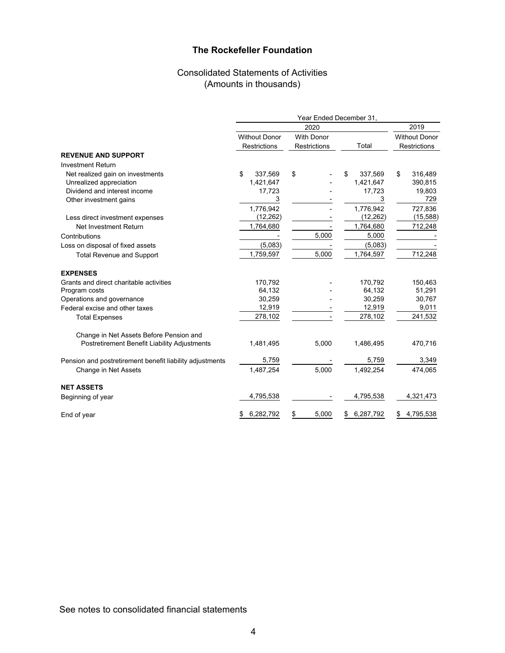# Consolidated Statements of Activities (Amounts in thousands)

|                                                          |                      | Year Ended December 31, |                 |                      |
|----------------------------------------------------------|----------------------|-------------------------|-----------------|----------------------|
|                                                          |                      | 2019                    |                 |                      |
|                                                          | <b>Without Donor</b> | <b>With Donor</b>       |                 | <b>Without Donor</b> |
|                                                          | Restrictions         | Restrictions            | Total           | Restrictions         |
| <b>REVENUE AND SUPPORT</b>                               |                      |                         |                 |                      |
| <b>Investment Return</b>                                 |                      |                         |                 |                      |
| Net realized gain on investments                         | \$<br>337,569        | \$                      | \$<br>337,569   | \$<br>316,489        |
| Unrealized appreciation                                  | 1,421,647            |                         | 1,421,647       | 390,815              |
| Dividend and interest income                             | 17,723               |                         | 17,723          | 19,803               |
| Other investment gains                                   | 3                    |                         | 3               | 729                  |
|                                                          | 1,776,942            |                         | 1,776,942       | 727,836              |
| Less direct investment expenses                          | (12, 262)            |                         | (12, 262)       | (15,588)             |
| Net Investment Return                                    | 1,764,680            |                         | 1,764,680       | 712,248              |
| Contributions                                            |                      | 5,000                   | 5,000           |                      |
| Loss on disposal of fixed assets                         | (5,083)              |                         | (5,083)         |                      |
| <b>Total Revenue and Support</b>                         | 1,759,597            | 5,000                   | 1,764,597       | 712,248              |
| <b>EXPENSES</b>                                          |                      |                         |                 |                      |
| Grants and direct charitable activities                  | 170,792              |                         | 170,792         | 150,463              |
| Program costs                                            | 64,132               |                         | 64,132          | 51,291               |
| Operations and governance                                | 30,259               |                         | 30,259          | 30,767               |
| Federal excise and other taxes                           | 12,919               |                         | 12,919          | 9,011                |
| <b>Total Expenses</b>                                    | 278,102              |                         | 278,102         | 241,532              |
| Change in Net Assets Before Pension and                  |                      |                         |                 |                      |
| Postretirement Benefit Liability Adjustments             | 1,481,495            | 5,000                   | 1,486,495       | 470,716              |
| Pension and postretirement benefit liability adjustments | 5,759                |                         | 5,759           | 3,349                |
| Change in Net Assets                                     | 1,487,254            | 5,000                   | 1,492,254       | 474,065              |
| <b>NET ASSETS</b>                                        |                      |                         |                 |                      |
| Beginning of year                                        | 4,795,538            |                         | 4,795,538       | 4,321,473            |
| End of year                                              | 6,282,792<br>\$      | 5,000<br>\$             | 6,287,792<br>\$ | 4,795,538<br>\$      |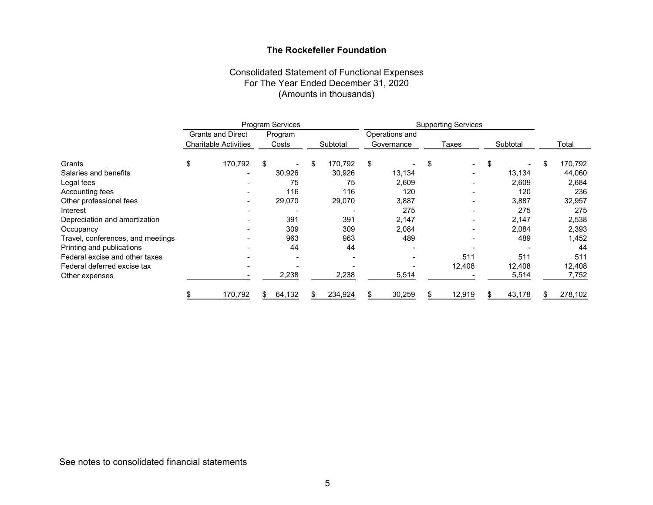# Consolidated Statement of Functional Expenses For The Year Ended December 31, 2020 (Amounts in thousands)

|                                   | Program Services         |                              |         |        |    | <b>Supporting Services</b> |                |            |    |        |    |          |    |         |
|-----------------------------------|--------------------------|------------------------------|---------|--------|----|----------------------------|----------------|------------|----|--------|----|----------|----|---------|
|                                   | <b>Grants and Direct</b> |                              | Program |        |    |                            | Operations and |            |    |        |    |          |    |         |
|                                   |                          | <b>Charitable Activities</b> |         | Costs  |    | Subtotal                   |                | Governance |    | Taxes  |    | Subtotal |    | Total   |
| Grants                            | \$                       | 170,792                      |         |        | \$ | 170,792                    | \$             |            | \$ |        | \$ |          | \$ | 170,792 |
| Salaries and benefits             |                          |                              |         | 30,926 |    | 30,926                     |                | 13,134     |    |        |    | 13,134   |    | 44,060  |
| Legal fees                        |                          |                              |         | 75     |    | 75                         |                | 2,609      |    |        |    | 2,609    |    | 2,684   |
| Accounting fees                   |                          |                              |         | 116    |    | 116                        |                | 120        |    |        |    | 120      |    | 236     |
| Other professional fees           |                          | -                            |         | 29,070 |    | 29,070                     |                | 3,887      |    |        |    | 3,887    |    | 32,957  |
| Interest                          |                          |                              |         |        |    |                            |                | 275        |    |        |    | 275      |    | 275     |
| Depreciation and amortization     |                          |                              |         | 391    |    | 391                        |                | 2,147      |    |        |    | 2,147    |    | 2,538   |
| Occupancy                         |                          |                              |         | 309    |    | 309                        |                | 2,084      |    |        |    | 2,084    |    | 2,393   |
| Travel, conferences, and meetings |                          |                              |         | 963    |    | 963                        |                | 489        |    |        |    | 489      |    | 1,452   |
| Printing and publications         |                          |                              |         | 44     |    | 44                         |                |            |    |        |    |          |    | 44      |
| Federal excise and other taxes    |                          |                              |         |        |    |                            |                |            |    | 511    |    | 511      |    | 511     |
| Federal deferred excise tax       |                          |                              |         |        |    |                            |                |            |    | 12,408 |    | 12,408   |    | 12,408  |
| Other expenses                    |                          |                              |         | 2,238  |    | 2,238                      |                | 5,514      |    |        |    | 5,514    |    | 7,752   |
|                                   |                          | 170,792                      |         | 64,132 |    | 234,924                    |                | 30,259     |    | 12,919 |    | 43,178   |    | 278,102 |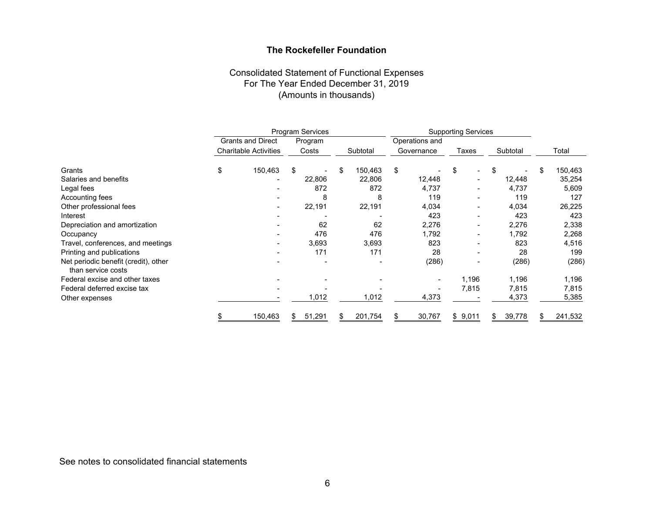# Consolidated Statement of Functional Expenses For The Year Ended December 31, 2019 (Amounts in thousands)

|                                                            |                              |                          | Program Services  | <b>Supporting Services</b> |                |            |                              |               |     |         |
|------------------------------------------------------------|------------------------------|--------------------------|-------------------|----------------------------|----------------|------------|------------------------------|---------------|-----|---------|
|                                                            |                              | <b>Grants and Direct</b> | Program           |                            | Operations and |            |                              |               |     |         |
|                                                            | <b>Charitable Activities</b> |                          | Subtotal<br>Costs |                            |                | Governance | Taxes                        | Subtotal      |     | Total   |
| Grants                                                     | \$                           | 150,463                  | S                 | 150,463<br>S               |                | \$         | \$<br>$\blacksquare$         | \$            | \$  | 150,463 |
| Salaries and benefits                                      |                              |                          | 22,806            | 22,806                     |                | 12,448     | $\blacksquare$               | 12,448        |     | 35,254  |
| Legal fees                                                 |                              |                          | 872               | 872                        |                | 4,737      | $\blacksquare$               | 4,737         |     | 5,609   |
| Accounting fees                                            |                              |                          | 8                 |                            | 8              | 119        | $\qquad \qquad \blacksquare$ | 119           |     | 127     |
| Other professional fees                                    |                              |                          | 22,191            | 22,191                     |                | 4,034      | $\qquad \qquad \blacksquare$ | 4,034         |     | 26,225  |
| Interest                                                   |                              |                          |                   |                            |                | 423        |                              | 423           |     | 423     |
| Depreciation and amortization                              |                              |                          | 62                |                            | 62             | 2,276      | $\blacksquare$               | 2,276         |     | 2,338   |
| Occupancy                                                  |                              |                          | 476               | 476                        |                | 1,792      | $\qquad \qquad \blacksquare$ | 1,792         |     | 2,268   |
| Travel, conferences, and meetings                          |                              |                          | 3,693             | 3,693                      |                | 823        |                              | 823           |     | 4,516   |
| Printing and publications                                  |                              |                          | 171               | 171                        |                | 28         |                              | 28            |     | 199     |
| Net periodic benefit (credit), other<br>than service costs |                              |                          |                   |                            |                | (286)      |                              | (286)         |     | (286)   |
| Federal excise and other taxes                             |                              |                          |                   |                            |                |            | 1,196                        | 1,196         |     | 1,196   |
| Federal deferred excise tax                                |                              |                          |                   |                            |                |            | 7,815                        | 7,815         |     | 7,815   |
| Other expenses                                             |                              |                          | 1,012             | 1,012                      |                | 4,373      |                              | 4,373         |     | 5,385   |
|                                                            |                              | 150,463                  | 51,291<br>\$.     | 201,754                    |                | 30,767     | \$9,011                      | 39,778<br>\$. | SS. | 241,532 |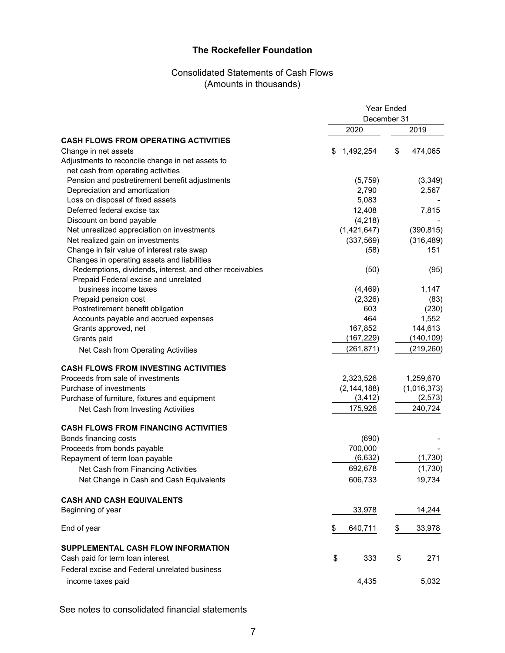# Consolidated Statements of Cash Flows (Amounts in thousands)

|                                                         |                | Year Ended    |
|---------------------------------------------------------|----------------|---------------|
|                                                         |                | December 31   |
|                                                         | 2020           | 2019          |
| <b>CASH FLOWS FROM OPERATING ACTIVITIES</b>             |                |               |
| Change in net assets                                    | 1,492,254<br>S | \$<br>474,065 |
| Adjustments to reconcile change in net assets to        |                |               |
| net cash from operating activities                      |                |               |
| Pension and postretirement benefit adjustments          | (5,759)        | (3, 349)      |
| Depreciation and amortization                           | 2,790          | 2,567         |
| Loss on disposal of fixed assets                        | 5,083          |               |
| Deferred federal excise tax                             | 12,408         | 7,815         |
| Discount on bond payable                                | (4,218)        |               |
| Net unrealized appreciation on investments              | (1,421,647)    | (390, 815)    |
| Net realized gain on investments                        | (337, 569)     | (316, 489)    |
| Change in fair value of interest rate swap              | (58)           | 151           |
| Changes in operating assets and liabilities             |                |               |
| Redemptions, dividends, interest, and other receivables | (50)           | (95)          |
| Prepaid Federal excise and unrelated                    |                |               |
| business income taxes                                   | (4, 469)       | 1,147         |
| Prepaid pension cost                                    |                |               |
|                                                         | (2,326)        | (83)          |
| Postretirement benefit obligation                       | 603            | (230)         |
| Accounts payable and accrued expenses                   | 464            | 1,552         |
| Grants approved, net                                    | 167,852        | 144,613       |
| Grants paid                                             | (167, 229)     | (140, 109)    |
| Net Cash from Operating Activities                      | (261, 871)     | (219, 260)    |
| <b>CASH FLOWS FROM INVESTING ACTIVITIES</b>             |                |               |
| Proceeds from sale of investments                       | 2,323,526      | 1,259,670     |
| Purchase of investments                                 | (2, 144, 188)  | (1,016,373)   |
| Purchase of furniture, fixtures and equipment           | (3, 412)       | (2, 573)      |
| Net Cash from Investing Activities                      | 175,926        | 240,724       |
| <b>CASH FLOWS FROM FINANCING ACTIVITIES</b>             |                |               |
| Bonds financing costs                                   | (690)          |               |
| Proceeds from bonds payable                             | 700,000        |               |
| Repayment of term loan payable                          | (6,632)        | (1,730)       |
| Net Cash from Financing Activities                      | 692,678        | (1,730)       |
| Net Change in Cash and Cash Equivalents                 | 606,733        | 19,734        |
| <b>CASH AND CASH EQUIVALENTS</b>                        |                |               |
| Beginning of year                                       | 33,978         | 14,244        |
|                                                         |                |               |
| End of year                                             | 640,711<br>S.  | 33,978<br>\$  |
| SUPPLEMENTAL CASH FLOW INFORMATION                      |                |               |
| Cash paid for term loan interest                        | \$<br>333      | \$<br>271     |
| Federal excise and Federal unrelated business           |                |               |
| income taxes paid                                       | 4,435          | 5,032         |
|                                                         |                |               |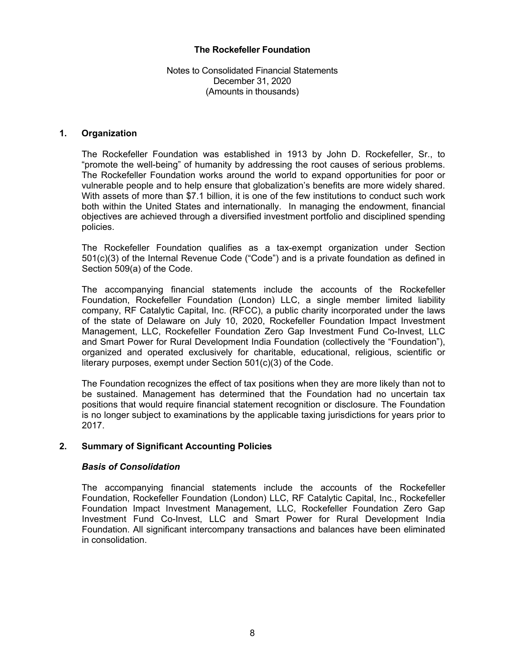Notes to Consolidated Financial Statements December 31, 2020 (Amounts in thousands)

#### **1. Organization**

The Rockefeller Foundation was established in 1913 by John D. Rockefeller, Sr., to "promote the well-being" of humanity by addressing the root causes of serious problems. The Rockefeller Foundation works around the world to expand opportunities for poor or vulnerable people and to help ensure that globalization's benefits are more widely shared. With assets of more than \$7.1 billion, it is one of the few institutions to conduct such work both within the United States and internationally. In managing the endowment, financial objectives are achieved through a diversified investment portfolio and disciplined spending policies.

The Rockefeller Foundation qualifies as a tax-exempt organization under Section 501(c)(3) of the Internal Revenue Code ("Code") and is a private foundation as defined in Section 509(a) of the Code.

The accompanying financial statements include the accounts of the Rockefeller Foundation, Rockefeller Foundation (London) LLC, a single member limited liability company, RF Catalytic Capital, Inc. (RFCC), a public charity incorporated under the laws of the state of Delaware on July 10, 2020, Rockefeller Foundation Impact Investment Management, LLC, Rockefeller Foundation Zero Gap Investment Fund Co-Invest, LLC and Smart Power for Rural Development India Foundation (collectively the "Foundation"), organized and operated exclusively for charitable, educational, religious, scientific or literary purposes, exempt under Section 501(c)(3) of the Code.

The Foundation recognizes the effect of tax positions when they are more likely than not to be sustained. Management has determined that the Foundation had no uncertain tax positions that would require financial statement recognition or disclosure. The Foundation is no longer subject to examinations by the applicable taxing jurisdictions for years prior to 2017.

#### **2. Summary of Significant Accounting Policies**

#### *Basis of Consolidation*

The accompanying financial statements include the accounts of the Rockefeller Foundation, Rockefeller Foundation (London) LLC, RF Catalytic Capital, Inc., Rockefeller Foundation Impact Investment Management, LLC, Rockefeller Foundation Zero Gap Investment Fund Co-Invest, LLC and Smart Power for Rural Development India Foundation. All significant intercompany transactions and balances have been eliminated in consolidation.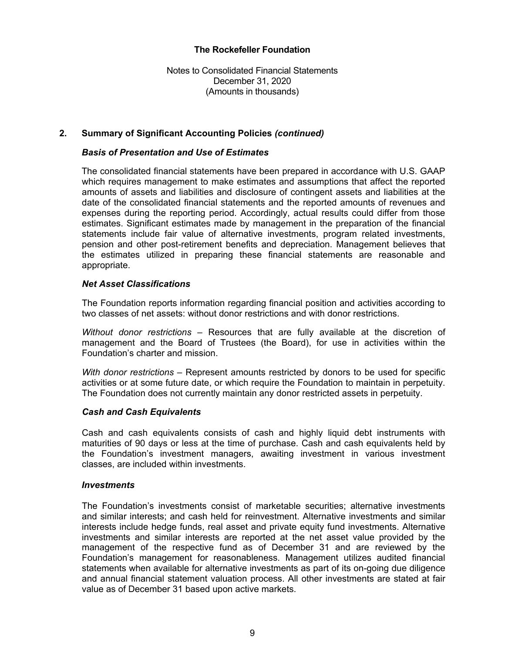Notes to Consolidated Financial Statements December 31, 2020 (Amounts in thousands)

# **2. Summary of Significant Accounting Policies** *(continued)*

#### *Basis of Presentation and Use of Estimates*

The consolidated financial statements have been prepared in accordance with U.S. GAAP which requires management to make estimates and assumptions that affect the reported amounts of assets and liabilities and disclosure of contingent assets and liabilities at the date of the consolidated financial statements and the reported amounts of revenues and expenses during the reporting period. Accordingly, actual results could differ from those estimates. Significant estimates made by management in the preparation of the financial statements include fair value of alternative investments, program related investments, pension and other post-retirement benefits and depreciation. Management believes that the estimates utilized in preparing these financial statements are reasonable and appropriate.

## *Net Asset Classifications*

 The Foundation reports information regarding financial position and activities according to two classes of net assets: without donor restrictions and with donor restrictions.

*Without donor restrictions* – Resources that are fully available at the discretion of management and the Board of Trustees (the Board), for use in activities within the Foundation's charter and mission.

*With donor restrictions* – Represent amounts restricted by donors to be used for specific activities or at some future date, or which require the Foundation to maintain in perpetuity. The Foundation does not currently maintain any donor restricted assets in perpetuity.

#### *Cash and Cash Equivalents*

 Cash and cash equivalents consists of cash and highly liquid debt instruments with maturities of 90 days or less at the time of purchase. Cash and cash equivalents held by the Foundation's investment managers, awaiting investment in various investment classes, are included within investments.

#### *Investments*

 The Foundation's investments consist of marketable securities; alternative investments and similar interests; and cash held for reinvestment. Alternative investments and similar interests include hedge funds, real asset and private equity fund investments. Alternative investments and similar interests are reported at the net asset value provided by the management of the respective fund as of December 31 and are reviewed by the Foundation's management for reasonableness. Management utilizes audited financial statements when available for alternative investments as part of its on-going due diligence and annual financial statement valuation process. All other investments are stated at fair value as of December 31 based upon active markets.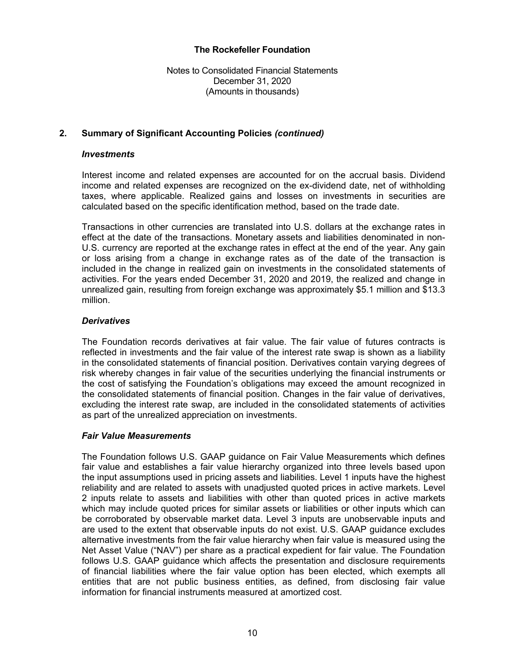Notes to Consolidated Financial Statements December 31, 2020 (Amounts in thousands)

## **2. Summary of Significant Accounting Policies** *(continued)*

#### *Investments*

 Interest income and related expenses are accounted for on the accrual basis. Dividend income and related expenses are recognized on the ex-dividend date, net of withholding taxes, where applicable. Realized gains and losses on investments in securities are calculated based on the specific identification method, based on the trade date.

 Transactions in other currencies are translated into U.S. dollars at the exchange rates in effect at the date of the transactions. Monetary assets and liabilities denominated in non-U.S. currency are reported at the exchange rates in effect at the end of the year. Any gain or loss arising from a change in exchange rates as of the date of the transaction is included in the change in realized gain on investments in the consolidated statements of activities. For the years ended December 31, 2020 and 2019, the realized and change in unrealized gain, resulting from foreign exchange was approximately \$5.1 million and \$13.3 million.

## *Derivatives*

 The Foundation records derivatives at fair value. The fair value of futures contracts is reflected in investments and the fair value of the interest rate swap is shown as a liability in the consolidated statements of financial position. Derivatives contain varying degrees of risk whereby changes in fair value of the securities underlying the financial instruments or the cost of satisfying the Foundation's obligations may exceed the amount recognized in the consolidated statements of financial position. Changes in the fair value of derivatives, excluding the interest rate swap, are included in the consolidated statements of activities as part of the unrealized appreciation on investments.

#### *Fair Value Measurements*

The Foundation follows U.S. GAAP guidance on Fair Value Measurements which defines fair value and establishes a fair value hierarchy organized into three levels based upon the input assumptions used in pricing assets and liabilities. Level 1 inputs have the highest reliability and are related to assets with unadjusted quoted prices in active markets. Level 2 inputs relate to assets and liabilities with other than quoted prices in active markets which may include quoted prices for similar assets or liabilities or other inputs which can be corroborated by observable market data. Level 3 inputs are unobservable inputs and are used to the extent that observable inputs do not exist. U.S. GAAP guidance excludes alternative investments from the fair value hierarchy when fair value is measured using the Net Asset Value ("NAV") per share as a practical expedient for fair value. The Foundation follows U.S. GAAP guidance which affects the presentation and disclosure requirements of financial liabilities where the fair value option has been elected, which exempts all entities that are not public business entities, as defined, from disclosing fair value information for financial instruments measured at amortized cost.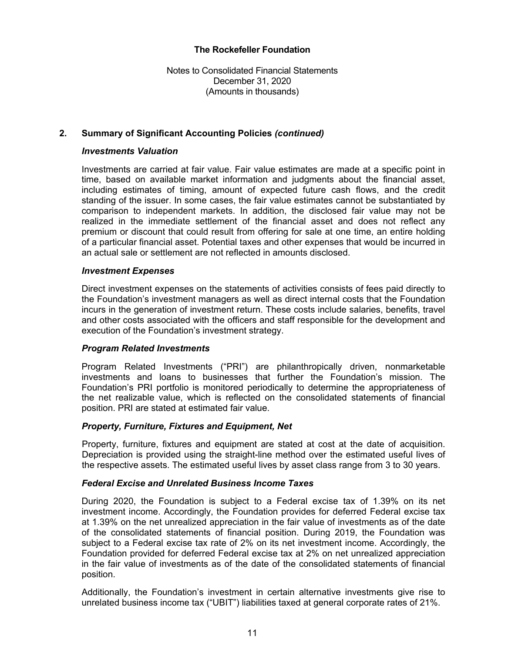Notes to Consolidated Financial Statements December 31, 2020 (Amounts in thousands)

# **2. Summary of Significant Accounting Policies** *(continued)*

#### *Investments Valuation*

Investments are carried at fair value. Fair value estimates are made at a specific point in time, based on available market information and judgments about the financial asset, including estimates of timing, amount of expected future cash flows, and the credit standing of the issuer. In some cases, the fair value estimates cannot be substantiated by comparison to independent markets. In addition, the disclosed fair value may not be realized in the immediate settlement of the financial asset and does not reflect any premium or discount that could result from offering for sale at one time, an entire holding of a particular financial asset. Potential taxes and other expenses that would be incurred in an actual sale or settlement are not reflected in amounts disclosed.

#### *Investment Expenses*

Direct investment expenses on the statements of activities consists of fees paid directly to the Foundation's investment managers as well as direct internal costs that the Foundation incurs in the generation of investment return. These costs include salaries, benefits, travel and other costs associated with the officers and staff responsible for the development and execution of the Foundation's investment strategy.

#### *Program Related Investments*

Program Related Investments ("PRI") are philanthropically driven, nonmarketable investments and loans to businesses that further the Foundation's mission. The Foundation's PRI portfolio is monitored periodically to determine the appropriateness of the net realizable value, which is reflected on the consolidated statements of financial position. PRI are stated at estimated fair value.

#### *Property, Furniture, Fixtures and Equipment, Net*

 Property, furniture, fixtures and equipment are stated at cost at the date of acquisition. Depreciation is provided using the straight-line method over the estimated useful lives of the respective assets. The estimated useful lives by asset class range from 3 to 30 years.

#### *Federal Excise and Unrelated Business Income Taxes*

During 2020, the Foundation is subject to a Federal excise tax of 1.39% on its net investment income. Accordingly, the Foundation provides for deferred Federal excise tax at 1.39% on the net unrealized appreciation in the fair value of investments as of the date of the consolidated statements of financial position. During 2019, the Foundation was subject to a Federal excise tax rate of 2% on its net investment income. Accordingly, the Foundation provided for deferred Federal excise tax at 2% on net unrealized appreciation in the fair value of investments as of the date of the consolidated statements of financial position.

Additionally, the Foundation's investment in certain alternative investments give rise to unrelated business income tax ("UBIT") liabilities taxed at general corporate rates of 21%.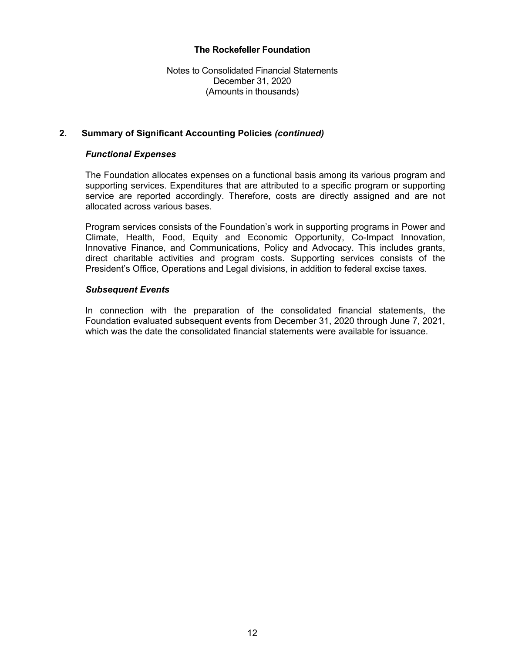Notes to Consolidated Financial Statements December 31, 2020 (Amounts in thousands)

## **2. Summary of Significant Accounting Policies** *(continued)*

#### *Functional Expenses*

The Foundation allocates expenses on a functional basis among its various program and supporting services. Expenditures that are attributed to a specific program or supporting service are reported accordingly. Therefore, costs are directly assigned and are not allocated across various bases.

Program services consists of the Foundation's work in supporting programs in Power and Climate, Health, Food, Equity and Economic Opportunity, Co-Impact Innovation, Innovative Finance, and Communications, Policy and Advocacy. This includes grants, direct charitable activities and program costs. Supporting services consists of the President's Office, Operations and Legal divisions, in addition to federal excise taxes.

#### *Subsequent Events*

In connection with the preparation of the consolidated financial statements, the Foundation evaluated subsequent events from December 31, 2020 through June 7, 2021, which was the date the consolidated financial statements were available for issuance.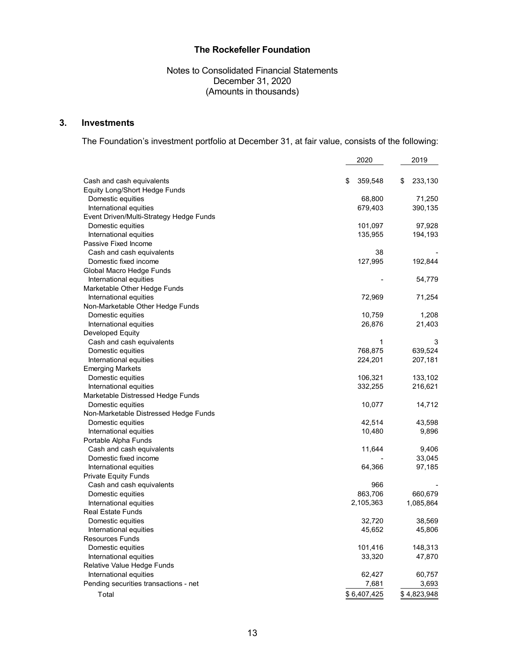Notes to Consolidated Financial Statements December 31, 2020 (Amounts in thousands)

## **3. Investments**

The Foundation's investment portfolio at December 31, at fair value, consists of the following:

|                                         | 2020          | 2019          |
|-----------------------------------------|---------------|---------------|
|                                         |               |               |
| Cash and cash equivalents               | \$<br>359,548 | \$<br>233,130 |
| Equity Long/Short Hedge Funds           |               |               |
| Domestic equities                       | 68,800        | 71,250        |
| International equities                  | 679,403       | 390,135       |
| Event Driven/Multi-Strategy Hedge Funds |               |               |
| Domestic equities                       | 101,097       | 97,928        |
| International equities                  | 135,955       | 194,193       |
| Passive Fixed Income                    |               |               |
| Cash and cash equivalents               | 38            |               |
| Domestic fixed income                   | 127,995       | 192,844       |
| Global Macro Hedge Funds                |               |               |
| International equities                  |               | 54,779        |
| Marketable Other Hedge Funds            |               |               |
| International equities                  | 72,969        | 71,254        |
| Non-Marketable Other Hedge Funds        |               |               |
| Domestic equities                       | 10,759        | 1,208         |
| International equities                  | 26,876        | 21,403        |
| Developed Equity                        |               |               |
| Cash and cash equivalents               | 1             | 3             |
| Domestic equities                       | 768,875       | 639,524       |
| International equities                  | 224,201       | 207,181       |
| <b>Emerging Markets</b>                 |               |               |
| Domestic equities                       | 106,321       | 133,102       |
| International equities                  | 332,255       | 216,621       |
| Marketable Distressed Hedge Funds       |               |               |
| Domestic equities                       | 10,077        | 14,712        |
| Non-Marketable Distressed Hedge Funds   |               |               |
| Domestic equities                       | 42,514        | 43,598        |
| International equities                  | 10,480        | 9,896         |
| Portable Alpha Funds                    |               |               |
| Cash and cash equivalents               | 11,644        | 9,406         |
| Domestic fixed income                   |               | 33,045        |
| International equities                  | 64,366        | 97,185        |
| <b>Private Equity Funds</b>             |               |               |
| Cash and cash equivalents               | 966           |               |
| Domestic equities                       | 863,706       | 660,679       |
| International equities                  | 2,105,363     | 1,085,864     |
| <b>Real Estate Funds</b>                |               |               |
| Domestic equities                       | 32,720        | 38,569        |
| International equities                  | 45,652        | 45,806        |
| <b>Resources Funds</b>                  |               |               |
| Domestic equities                       | 101,416       | 148,313       |
| International equities                  | 33,320        | 47,870        |
| Relative Value Hedge Funds              |               |               |
| International equities                  | 62,427        | 60,757        |
| Pending securities transactions - net   | 7,681         | 3,693         |
|                                         |               |               |
| Total                                   | \$6,407,425   | \$4,823,948   |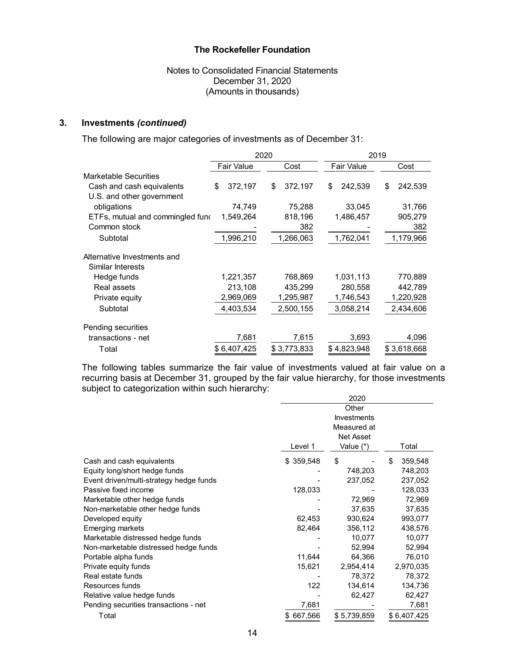## Notes to Consolidated Financial Statements December 31, 2020 (Amounts in thousands)

# **3. Investments** *(continued)*

The following are major categories of investments as of December 31:

|                                  |                   | 2020          | 2019          |               |  |  |
|----------------------------------|-------------------|---------------|---------------|---------------|--|--|
|                                  | <b>Fair Value</b> | Cost          | Fair Value    | Cost          |  |  |
| <b>Marketable Securities</b>     |                   |               |               |               |  |  |
| Cash and cash equivalents        | 372,197<br>\$     | 372,197<br>\$ | 242,539<br>\$ | 242,539<br>\$ |  |  |
| U.S. and other government        |                   |               |               |               |  |  |
| obligations                      | 74,749            | 75,288        | 33,045        | 31,766        |  |  |
| ETFs, mutual and commingled fund | 1,549,264         | 818,196       | 1,486,457     | 905,279       |  |  |
| Common stock                     |                   | 382           |               | 382           |  |  |
| Subtotal                         | 1,996,210         | 1,266,063     | 1,762,041     | 1,179,966     |  |  |
| Alternative Investments and      |                   |               |               |               |  |  |
| Similar Interests                |                   |               |               |               |  |  |
| Hedge funds                      | 1,221,357         | 768,869       | 1,031,113     | 770,889       |  |  |
| Real assets                      | 213,108           | 435,299       | 280,558       | 442,789       |  |  |
| Private equity                   | 2,969,069         | 1,295,987     | 1,746,543     | 1,220,928     |  |  |
| Subtotal                         | 4,403,534         | 2,500,155     | 3,058,214     | 2,434,606     |  |  |
| Pending securities               |                   |               |               |               |  |  |
| transactions - net               | 7,681             | 7,615         | 3,693         | 4,096         |  |  |
| Total                            | \$6,407,425       | \$3,773,833   | \$4,823,948   | \$3,618,668   |  |  |

The following tables summarize the fair value of investments valued at fair value on a recurring basis at December 31, grouped by the fair value hierarchy, for those investments subject to categorization within such hierarchy:

| 2020                                    |           |                    |               |  |  |  |  |  |  |
|-----------------------------------------|-----------|--------------------|---------------|--|--|--|--|--|--|
|                                         |           | Other              |               |  |  |  |  |  |  |
|                                         |           | <b>Investments</b> |               |  |  |  |  |  |  |
|                                         |           | Measured at        |               |  |  |  |  |  |  |
|                                         |           | <b>Net Asset</b>   |               |  |  |  |  |  |  |
|                                         | Level 1   | Value (*)          | Total         |  |  |  |  |  |  |
| Cash and cash equivalents               | \$359,548 | \$                 | \$<br>359,548 |  |  |  |  |  |  |
| Equity long/short hedge funds           |           | 748,203            | 748,203       |  |  |  |  |  |  |
| Event driven/multi-strategy hedge funds |           | 237,052            | 237,052       |  |  |  |  |  |  |
| Passive fixed income                    | 128,033   |                    | 128,033       |  |  |  |  |  |  |
| Marketable other hedge funds            |           | 72,969             | 72,969        |  |  |  |  |  |  |
| Non-marketable other hedge funds        |           | 37,635             | 37,635        |  |  |  |  |  |  |
| Developed equity                        | 62,453    | 930,624            | 993,077       |  |  |  |  |  |  |
| Emerging markets                        | 82,464    | 356,112            | 438,576       |  |  |  |  |  |  |
| Marketable distressed hedge funds       |           | 10,077             | 10,077        |  |  |  |  |  |  |
| Non-marketable distressed hedge funds   |           | 52,994             | 52,994        |  |  |  |  |  |  |
| Portable alpha funds                    | 11,644    | 64,366             | 76,010        |  |  |  |  |  |  |
| Private equity funds                    | 15,621    | 2,954,414          | 2,970,035     |  |  |  |  |  |  |
| Real estate funds                       |           | 78,372             | 78,372        |  |  |  |  |  |  |
| Resources funds                         | 122       | 134,614            | 134,736       |  |  |  |  |  |  |
| Relative value hedge funds              |           | 62,427             | 62,427        |  |  |  |  |  |  |
| Pending securities transactions - net   | 7,681     |                    | 7,681         |  |  |  |  |  |  |
| Total                                   | 667,566   | \$5,739,859        | \$6,407,425   |  |  |  |  |  |  |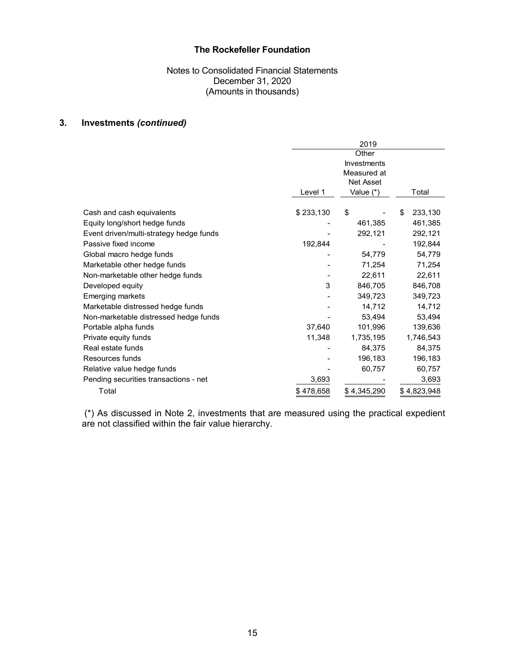# Notes to Consolidated Financial Statements December 31, 2020 (Amounts in thousands)

# **3. Investments** *(continued)*

|                                         | 2019               |                               |               |  |  |  |  |
|-----------------------------------------|--------------------|-------------------------------|---------------|--|--|--|--|
|                                         | Other              |                               |               |  |  |  |  |
|                                         | <b>Investments</b> |                               |               |  |  |  |  |
|                                         |                    | Measured at                   |               |  |  |  |  |
|                                         |                    | <b>Net Asset</b><br>Value (*) |               |  |  |  |  |
|                                         | Level 1            | Total                         |               |  |  |  |  |
| Cash and cash equivalents               | \$233,130          | \$                            | 233,130<br>\$ |  |  |  |  |
| Equity long/short hedge funds           |                    | 461,385                       | 461,385       |  |  |  |  |
| Event driven/multi-strategy hedge funds |                    | 292,121                       | 292,121       |  |  |  |  |
| Passive fixed income                    | 192,844            |                               | 192,844       |  |  |  |  |
| Global macro hedge funds                |                    | 54,779                        | 54,779        |  |  |  |  |
| Marketable other hedge funds            |                    | 71,254                        | 71,254        |  |  |  |  |
| Non-marketable other hedge funds        |                    | 22,611                        | 22,611        |  |  |  |  |
| Developed equity                        | 3                  | 846,705                       | 846,708       |  |  |  |  |
| <b>Emerging markets</b>                 |                    | 349,723                       | 349,723       |  |  |  |  |
| Marketable distressed hedge funds       |                    | 14,712                        | 14,712        |  |  |  |  |
| Non-marketable distressed hedge funds   |                    | 53,494                        | 53,494        |  |  |  |  |
| Portable alpha funds                    | 37,640             | 101,996                       | 139,636       |  |  |  |  |
| Private equity funds                    | 11,348             | 1,735,195                     | 1,746,543     |  |  |  |  |
| Real estate funds                       |                    | 84.375                        | 84,375        |  |  |  |  |
| Resources funds                         |                    | 196,183                       | 196,183       |  |  |  |  |
| Relative value hedge funds              |                    | 60,757                        | 60,757        |  |  |  |  |
| Pending securities transactions - net   | 3,693              |                               | 3,693         |  |  |  |  |
| Total                                   | \$ 478,658         | \$4,345,290                   | \$4,823,948   |  |  |  |  |

 (\*) As discussed in Note 2, investments that are measured using the practical expedient are not classified within the fair value hierarchy.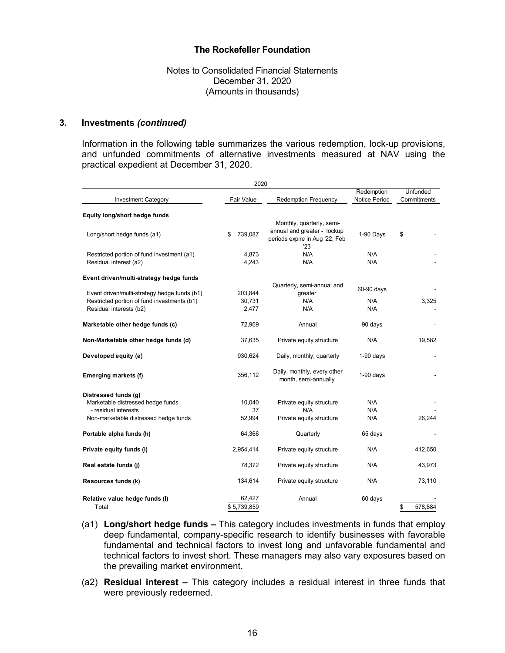#### Notes to Consolidated Financial Statements December 31, 2020 (Amounts in thousands)

#### **3. Investments** *(continued)*

Information in the following table summarizes the various redemption, lock-up provisions, and unfunded commitments of alternative investments measured at NAV using the practical expedient at December 31, 2020.

|                                                                                                                            | 2020                       |                                                                                                  |                             |                         |
|----------------------------------------------------------------------------------------------------------------------------|----------------------------|--------------------------------------------------------------------------------------------------|-----------------------------|-------------------------|
| <b>Investment Category</b>                                                                                                 | Fair Value                 | <b>Redemption Frequency</b>                                                                      | Redemption<br>Notice Period | Unfunded<br>Commitments |
| Equity long/short hedge funds                                                                                              |                            |                                                                                                  |                             |                         |
| Long/short hedge funds (a1)                                                                                                | 739,087<br>\$              | Monthly, quarterly, semi-<br>annual and greater - lockup<br>periods expire in Aug '22, Feb<br>23 | 1-90 Days                   | \$                      |
| Restricted portion of fund investment (a1)<br>Residual interest (a2)                                                       | 4,873<br>4,243             | N/A<br>N/A                                                                                       | N/A<br>N/A                  |                         |
| Event driven/multi-strategy hedge funds                                                                                    |                            |                                                                                                  |                             |                         |
| Event driven/multi-strategy hedge funds (b1)<br>Restricted portion of fund investments (b1)<br>Residual interests (b2)     | 203,844<br>30,731<br>2,477 | Quarterly, semi-annual and<br>greater<br>N/A<br>N/A                                              | 60-90 days<br>N/A<br>N/A    | 3,325                   |
| Marketable other hedge funds (c)                                                                                           | 72,969                     | Annual                                                                                           | 90 days                     |                         |
| Non-Marketable other hedge funds (d)                                                                                       | 37,635                     | Private equity structure                                                                         | N/A                         | 19,582                  |
| Developed equity (e)                                                                                                       | 930,624                    | Daily, monthly, quarterly                                                                        | $1-90$ days                 |                         |
| Emerging markets (f)                                                                                                       | 356,112                    | Daily, monthly, every other<br>month, semi-annually                                              | $1-90$ days                 |                         |
| Distressed funds (g)<br>Marketable distressed hedge funds<br>- residual interests<br>Non-marketable distressed hedge funds | 10,040<br>37<br>52,994     | Private equity structure<br>N/A<br>Private equity structure                                      | N/A<br>N/A<br>N/A           | 26,244                  |
| Portable alpha funds (h)                                                                                                   | 64,366                     | Quarterly                                                                                        | 65 days                     |                         |
| Private equity funds (i)                                                                                                   | 2,954,414                  | Private equity structure                                                                         | N/A                         | 412,650                 |
| Real estate funds (j)                                                                                                      | 78,372                     | Private equity structure                                                                         | N/A                         | 43,973                  |
| Resources funds (k)                                                                                                        | 134,614                    | Private equity structure                                                                         | N/A                         | 73,110                  |
| Relative value hedge funds (I)<br>Total                                                                                    | 62,427<br>\$5,739,859      | Annual                                                                                           | 60 days                     | \$<br>578,884           |

- (a1) **Long/short hedge funds –** This category includes investments in funds that employ deep fundamental, company-specific research to identify businesses with favorable fundamental and technical factors to invest long and unfavorable fundamental and technical factors to invest short. These managers may also vary exposures based on the prevailing market environment.
- (a2) **Residual interest** This category includes a residual interest in three funds that were previously redeemed.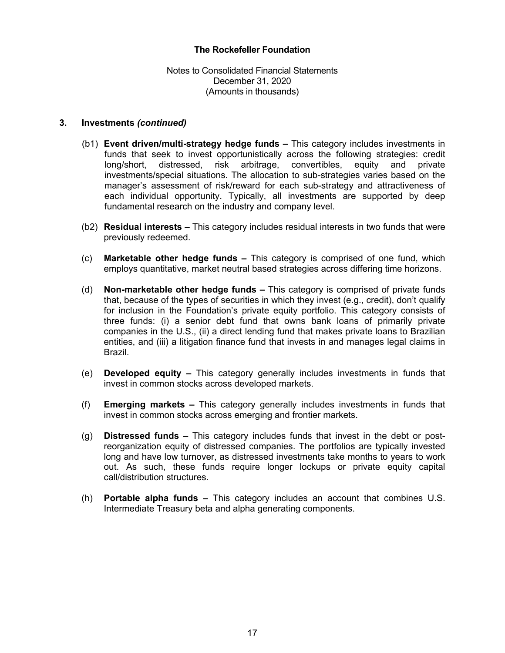Notes to Consolidated Financial Statements December 31, 2020 (Amounts in thousands)

#### **3. Investments** *(continued)*

- (b1) **Event driven/multi-strategy hedge funds –** This category includes investments in funds that seek to invest opportunistically across the following strategies: credit long/short, distressed, risk arbitrage, convertibles, equity and private investments/special situations. The allocation to sub-strategies varies based on the manager's assessment of risk/reward for each sub-strategy and attractiveness of each individual opportunity. Typically, all investments are supported by deep fundamental research on the industry and company level.
- (b2) **Residual interests** This category includes residual interests in two funds that were previously redeemed.
- (c) **Marketable other hedge funds –** This category is comprised of one fund, which employs quantitative, market neutral based strategies across differing time horizons.
- (d) **Non-marketable other hedge funds** This category is comprised of private funds that, because of the types of securities in which they invest (e.g., credit), don't qualify for inclusion in the Foundation's private equity portfolio. This category consists of three funds: (i) a senior debt fund that owns bank loans of primarily private companies in the U.S., (ii) a direct lending fund that makes private loans to Brazilian entities, and (iii) a litigation finance fund that invests in and manages legal claims in Brazil.
- (e) **Developed equity –** This category generally includes investments in funds that invest in common stocks across developed markets.
- (f) **Emerging markets –** This category generally includes investments in funds that invest in common stocks across emerging and frontier markets.
- (g) **Distressed funds –** This category includes funds that invest in the debt or postreorganization equity of distressed companies. The portfolios are typically invested long and have low turnover, as distressed investments take months to years to work out. As such, these funds require longer lockups or private equity capital call/distribution structures.
- (h) **Portable alpha funds –** This category includes an account that combines U.S. Intermediate Treasury beta and alpha generating components.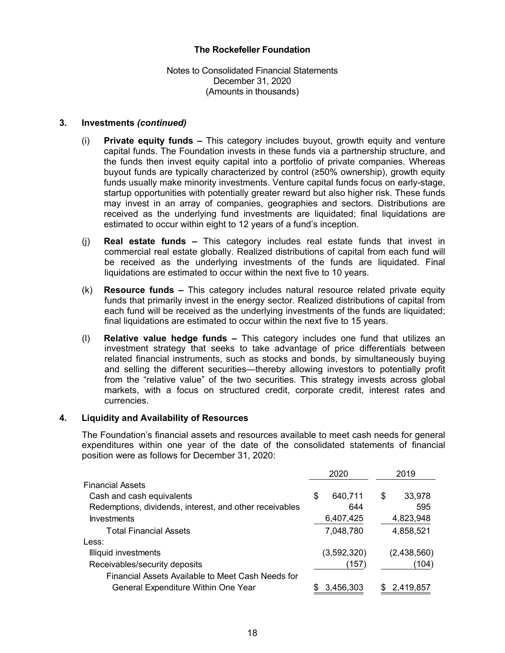Notes to Consolidated Financial Statements December 31, 2020 (Amounts in thousands)

#### **3. Investments** *(continued)*

- (i) **Private equity funds –** This category includes buyout, growth equity and venture capital funds. The Foundation invests in these funds via a partnership structure, and the funds then invest equity capital into a portfolio of private companies. Whereas buyout funds are typically characterized by control (≥50% ownership), growth equity funds usually make minority investments. Venture capital funds focus on early-stage, startup opportunities with potentially greater reward but also higher risk. These funds may invest in an array of companies, geographies and sectors. Distributions are received as the underlying fund investments are liquidated; final liquidations are estimated to occur within eight to 12 years of a fund's inception.
- (j) **Real estate funds –** This category includes real estate funds that invest in commercial real estate globally. Realized distributions of capital from each fund will be received as the underlying investments of the funds are liquidated. Final liquidations are estimated to occur within the next five to 10 years.
- (k) **Resource funds –** This category includes natural resource related private equity funds that primarily invest in the energy sector. Realized distributions of capital from each fund will be received as the underlying investments of the funds are liquidated; final liquidations are estimated to occur within the next five to 15 years.
- (l) **Relative value hedge funds** This category includes one fund that utilizes an investment strategy that seeks to take advantage of price differentials between related financial instruments, such as stocks and bonds, by simultaneously buying and selling the different securities—thereby allowing investors to potentially profit from the "relative value" of the two securities. This strategy invests across global markets, with a focus on structured credit, corporate credit, interest rates and currencies.

#### **4. Liquidity and Availability of Resources**

The Foundation's financial assets and resources available to meet cash needs for general expenditures within one year of the date of the consolidated statements of financial position were as follows for December 31, 2020:

|                                                         | 2020          |   | 2019        |
|---------------------------------------------------------|---------------|---|-------------|
| <b>Financial Assets</b>                                 |               |   |             |
| Cash and cash equivalents                               | \$<br>640,711 | S | 33,978      |
| Redemptions, dividends, interest, and other receivables | 644           |   | 595         |
| Investments                                             | 6,407,425     |   | 4,823,948   |
| <b>Total Financial Assets</b>                           | 7,048,780     |   | 4,858,521   |
| Less:                                                   |               |   |             |
| Illiquid investments                                    | (3,592,320)   |   | (2,438,560) |
| Receivables/security deposits                           | (157)         |   | (104)       |
| Financial Assets Available to Meet Cash Needs for       |               |   |             |
| General Expenditure Within One Year                     | 3,456,303     |   | 2,419,857   |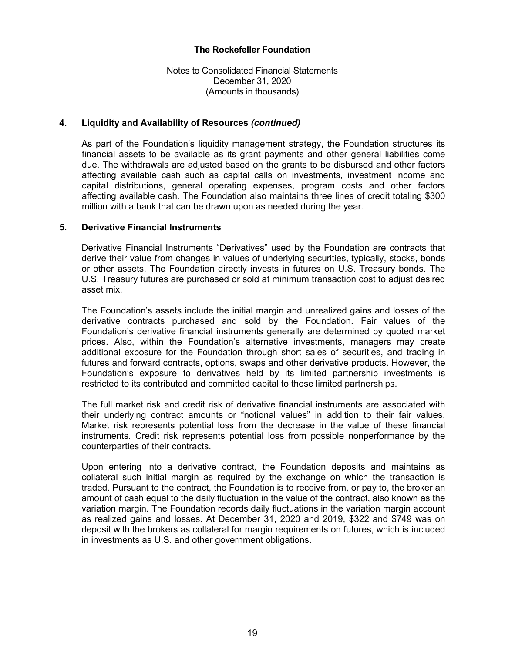Notes to Consolidated Financial Statements December 31, 2020 (Amounts in thousands)

#### **4. Liquidity and Availability of Resources** *(continued)*

 As part of the Foundation's liquidity management strategy, the Foundation structures its financial assets to be available as its grant payments and other general liabilities come due. The withdrawals are adjusted based on the grants to be disbursed and other factors affecting available cash such as capital calls on investments, investment income and capital distributions, general operating expenses, program costs and other factors affecting available cash. The Foundation also maintains three lines of credit totaling \$300 million with a bank that can be drawn upon as needed during the year.

## **5. Derivative Financial Instruments**

Derivative Financial Instruments "Derivatives" used by the Foundation are contracts that derive their value from changes in values of underlying securities, typically, stocks, bonds or other assets. The Foundation directly invests in futures on U.S. Treasury bonds. The U.S. Treasury futures are purchased or sold at minimum transaction cost to adjust desired asset mix.

The Foundation's assets include the initial margin and unrealized gains and losses of the derivative contracts purchased and sold by the Foundation. Fair values of the Foundation's derivative financial instruments generally are determined by quoted market prices. Also, within the Foundation's alternative investments, managers may create additional exposure for the Foundation through short sales of securities, and trading in futures and forward contracts, options, swaps and other derivative products. However, the Foundation's exposure to derivatives held by its limited partnership investments is restricted to its contributed and committed capital to those limited partnerships.

The full market risk and credit risk of derivative financial instruments are associated with their underlying contract amounts or "notional values" in addition to their fair values. Market risk represents potential loss from the decrease in the value of these financial instruments. Credit risk represents potential loss from possible nonperformance by the counterparties of their contracts.

Upon entering into a derivative contract, the Foundation deposits and maintains as collateral such initial margin as required by the exchange on which the transaction is traded. Pursuant to the contract, the Foundation is to receive from, or pay to, the broker an amount of cash equal to the daily fluctuation in the value of the contract, also known as the variation margin. The Foundation records daily fluctuations in the variation margin account as realized gains and losses. At December 31, 2020 and 2019, \$322 and \$749 was on deposit with the brokers as collateral for margin requirements on futures, which is included in investments as U.S. and other government obligations.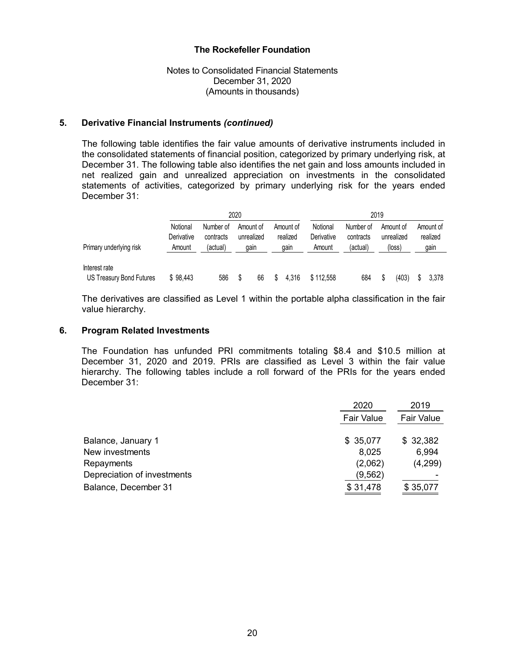#### Notes to Consolidated Financial Statements December 31, 2020 (Amounts in thousands)

## **5. Derivative Financial Instruments** *(continued)*

The following table identifies the fair value amounts of derivative instruments included in the consolidated statements of financial position, categorized by primary underlying risk, at December 31. The following table also identifies the net gain and loss amounts included in net realized gain and unrealized appreciation on investments in the consolidated statements of activities, categorized by primary underlying risk for the years ended December 31:

|                                           | 2020                             |                                    |  |                                 |    |                               | 2019                             |                                    |                                   |       |                               |       |  |
|-------------------------------------------|----------------------------------|------------------------------------|--|---------------------------------|----|-------------------------------|----------------------------------|------------------------------------|-----------------------------------|-------|-------------------------------|-------|--|
| Primary underlying risk                   | Notional<br>Derivative<br>Amount | Number of<br>contracts<br>(actual) |  | Amount of<br>unrealized<br>gain |    | Amount of<br>realized<br>gain | Notional<br>Derivative<br>Amount | Number of<br>contracts<br>(actual) | Amount of<br>unrealized<br>(loss) |       | Amount of<br>realized<br>gain |       |  |
| Interest rate<br>US Treasury Bond Futures | \$98.443                         | 586                                |  | 66                              | S. | 4.316                         | \$112.558                        | 684                                | S                                 | (403) |                               | 3,378 |  |

The derivatives are classified as Level 1 within the portable alpha classification in the fair value hierarchy.

#### **6. Program Related Investments**

The Foundation has unfunded PRI commitments totaling \$8.4 and \$10.5 million at December 31, 2020 and 2019. PRIs are classified as Level 3 within the fair value hierarchy. The following tables include a roll forward of the PRIs for the years ended December 31:

|                             | 2020              | 2019              |
|-----------------------------|-------------------|-------------------|
|                             | <b>Fair Value</b> | <b>Fair Value</b> |
|                             |                   |                   |
| Balance, January 1          | \$35,077          | \$32,382          |
| New investments             | 8,025             | 6,994             |
| Repayments                  | (2,062)           | (4,299)           |
| Depreciation of investments | (9, 562)          |                   |
| Balance, December 31        | \$31,478          | \$35,077          |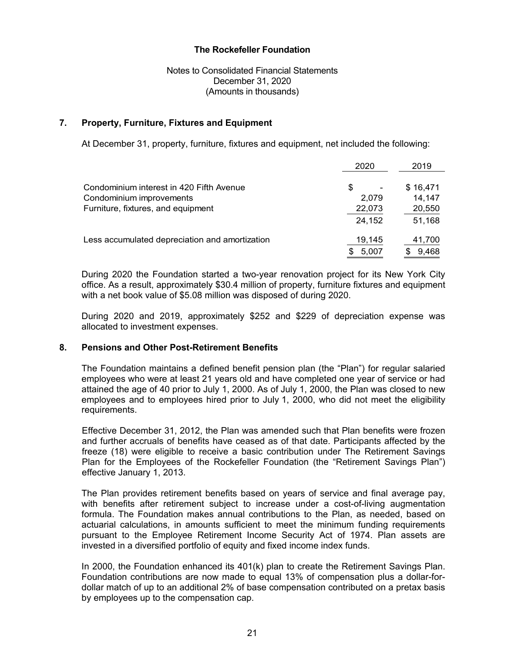Notes to Consolidated Financial Statements December 31, 2020 (Amounts in thousands)

# **7. Property, Furniture, Fixtures and Equipment**

At December 31, property, furniture, fixtures and equipment, net included the following:

|                                                | 2020   | 2019     |
|------------------------------------------------|--------|----------|
|                                                |        |          |
| Condominium interest in 420 Fifth Avenue       | S      | \$16,471 |
| Condominium improvements                       | 2.079  | 14,147   |
| Furniture, fixtures, and equipment             | 22,073 | 20,550   |
|                                                | 24,152 | 51,168   |
| Less accumulated depreciation and amortization | 19,145 | 41,700   |
|                                                | 5,007  | 9.468    |

During 2020 the Foundation started a two-year renovation project for its New York City office. As a result, approximately \$30.4 million of property, furniture fixtures and equipment with a net book value of \$5.08 million was disposed of during 2020.

During 2020 and 2019, approximately \$252 and \$229 of depreciation expense was allocated to investment expenses.

#### **8. Pensions and Other Post-Retirement Benefits**

The Foundation maintains a defined benefit pension plan (the "Plan") for regular salaried employees who were at least 21 years old and have completed one year of service or had attained the age of 40 prior to July 1, 2000. As of July 1, 2000, the Plan was closed to new employees and to employees hired prior to July 1, 2000, who did not meet the eligibility requirements.

Effective December 31, 2012, the Plan was amended such that Plan benefits were frozen and further accruals of benefits have ceased as of that date. Participants affected by the freeze (18) were eligible to receive a basic contribution under The Retirement Savings Plan for the Employees of the Rockefeller Foundation (the "Retirement Savings Plan") effective January 1, 2013.

The Plan provides retirement benefits based on years of service and final average pay, with benefits after retirement subject to increase under a cost-of-living augmentation formula. The Foundation makes annual contributions to the Plan, as needed, based on actuarial calculations, in amounts sufficient to meet the minimum funding requirements pursuant to the Employee Retirement Income Security Act of 1974. Plan assets are invested in a diversified portfolio of equity and fixed income index funds.

In 2000, the Foundation enhanced its 401(k) plan to create the Retirement Savings Plan. Foundation contributions are now made to equal 13% of compensation plus a dollar-fordollar match of up to an additional 2% of base compensation contributed on a pretax basis by employees up to the compensation cap.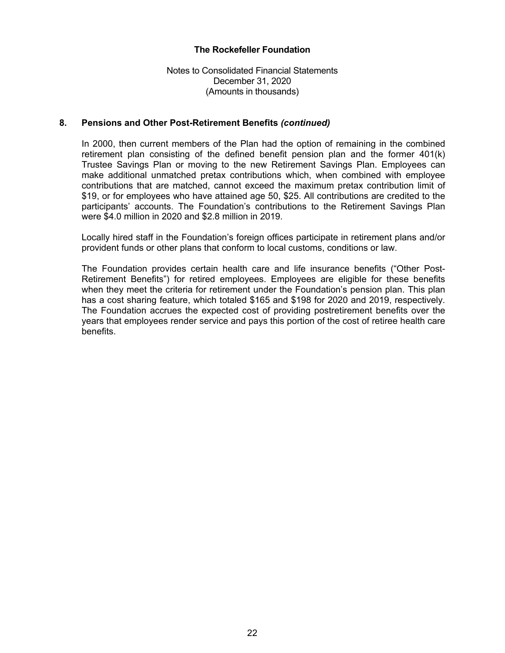Notes to Consolidated Financial Statements December 31, 2020 (Amounts in thousands)

#### **8. Pensions and Other Post-Retirement Benefits** *(continued)*

In 2000, then current members of the Plan had the option of remaining in the combined retirement plan consisting of the defined benefit pension plan and the former 401(k) Trustee Savings Plan or moving to the new Retirement Savings Plan. Employees can make additional unmatched pretax contributions which, when combined with employee contributions that are matched, cannot exceed the maximum pretax contribution limit of \$19, or for employees who have attained age 50, \$25. All contributions are credited to the participants' accounts. The Foundation's contributions to the Retirement Savings Plan were \$4.0 million in 2020 and \$2.8 million in 2019.

Locally hired staff in the Foundation's foreign offices participate in retirement plans and/or provident funds or other plans that conform to local customs, conditions or law.

The Foundation provides certain health care and life insurance benefits ("Other Post-Retirement Benefits") for retired employees. Employees are eligible for these benefits when they meet the criteria for retirement under the Foundation's pension plan. This plan has a cost sharing feature, which totaled \$165 and \$198 for 2020 and 2019, respectively. The Foundation accrues the expected cost of providing postretirement benefits over the years that employees render service and pays this portion of the cost of retiree health care benefits.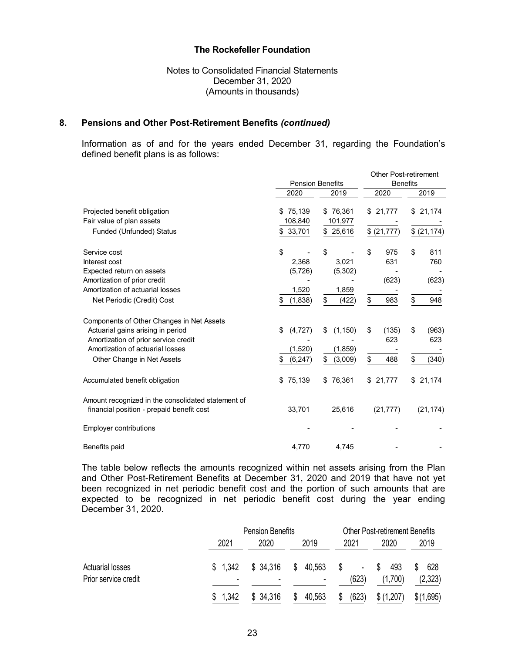#### Notes to Consolidated Financial Statements December 31, 2020 (Amounts in thousands)

#### **8. Pensions and Other Post-Retirement Benefits** *(continued)*

Information as of and for the years ended December 31, regarding the Foundation's defined benefit plans is as follows:

|                                                    |                         |                | <b>Other Post-retirement</b> |                 |  |
|----------------------------------------------------|-------------------------|----------------|------------------------------|-----------------|--|
|                                                    | <b>Pension Benefits</b> |                |                              | <b>Benefits</b> |  |
|                                                    | 2020                    | 2019           | 2020                         | 2019            |  |
| Projected benefit obligation                       | 75,139<br>\$            | \$76,361       | \$21,777                     | \$21,174        |  |
| Fair value of plan assets                          | 108,840                 | 101,977        |                              |                 |  |
| Funded (Unfunded) Status                           | \$33,701                | \$25,616       | \$ (21, 777)                 | \$ (21, 174)    |  |
| Service cost                                       | \$                      | \$             | \$<br>975                    | \$<br>811       |  |
| Interest cost                                      | 2,368                   | 3,021          | 631                          | 760             |  |
| Expected return on assets                          | (5, 726)                | (5,302)        |                              |                 |  |
| Amortization of prior credit                       |                         |                | (623)                        | (623)           |  |
| Amortization of actuarial losses                   | 1,520                   | 1,859          |                              |                 |  |
| Net Periodic (Credit) Cost                         | \$<br>(1,838)           | \$<br>(422)    | \$<br>983                    | \$<br>948       |  |
| Components of Other Changes in Net Assets          |                         |                |                              |                 |  |
| Actuarial gains arising in period                  | (4, 727)<br>\$          | (1, 150)<br>\$ | \$<br>(135)                  | \$<br>(963)     |  |
| Amortization of prior service credit               |                         |                | 623                          | 623             |  |
| Amortization of actuarial losses                   | (1,520)                 | (1, 859)       |                              |                 |  |
| Other Change in Net Assets                         | \$<br>(6, 247)          | \$<br>(3,009)  | \$<br>488                    | \$<br>(340)     |  |
| Accumulated benefit obligation                     | 75,139<br>\$            | \$76,361       | 21,777<br>\$                 | \$21,174        |  |
| Amount recognized in the consolidated statement of |                         |                |                              |                 |  |
| financial position - prepaid benefit cost          | 33,701                  | 25,616         | (21, 777)                    | (21, 174)       |  |
| <b>Employer contributions</b>                      |                         |                |                              |                 |  |
| Benefits paid                                      | 4,770                   | 4,745          |                              |                 |  |

The table below reflects the amounts recognized within net assets arising from the Plan and Other Post-Retirement Benefits at December 31, 2020 and 2019 that have not yet been recognized in net periodic benefit cost and the portion of such amounts that are expected to be recognized in net periodic benefit cost during the year ending December 31, 2020.

|                                                 | <b>Pension Benefits</b>   |          |                |                     | Other Post-retirement Benefits |                |
|-------------------------------------------------|---------------------------|----------|----------------|---------------------|--------------------------------|----------------|
|                                                 | 2021                      | 2020     | 2019           | 2021                | 2020                           | 2019           |
| <b>Actuarial losses</b><br>Prior service credit | \$1,342<br>$\blacksquare$ | \$34,316 | \$40,563<br>۰. | - \$<br>٠.<br>(623) | 493<br>S.<br>(1,700)           | 628<br>(2,323) |
|                                                 | 1,342                     | \$34,316 | 40,563<br>\$   | (623)<br>\$         | \$ (1,207)                     | \$(1,695)      |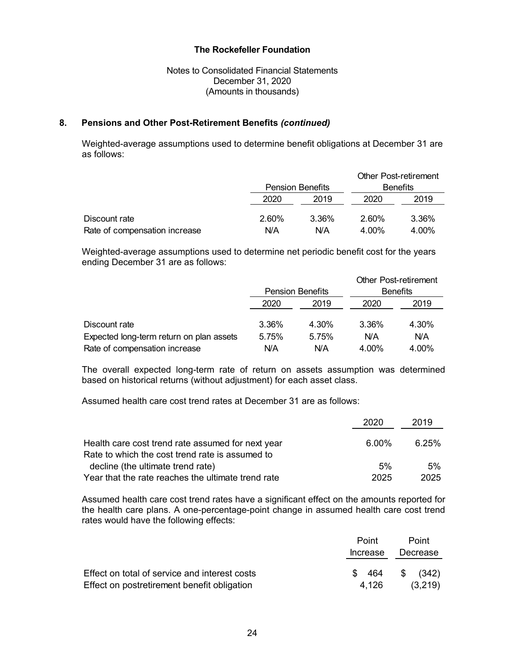## Notes to Consolidated Financial Statements December 31, 2020 (Amounts in thousands)

## **8. Pensions and Other Post-Retirement Benefits** *(continued)*

Weighted-average assumptions used to determine benefit obligations at December 31 are as follows:

|                               |       |                         |       | <b>Other Post-retirement</b> |
|-------------------------------|-------|-------------------------|-------|------------------------------|
|                               |       | <b>Pension Benefits</b> |       | <b>Benefits</b>              |
|                               | 2020  | 2019                    | 2020  | 2019                         |
|                               |       |                         |       |                              |
| Discount rate                 | 2.60% | 3.36%                   | 2.60% | 3.36%                        |
| Rate of compensation increase | N/A   | N/A                     | 4.00% | 4.00%                        |

Weighted-average assumptions used to determine net periodic benefit cost for the years ending December 31 are as follows:

|                                          |              |                         |                 | <b>Other Post-retirement</b> |  |
|------------------------------------------|--------------|-------------------------|-----------------|------------------------------|--|
|                                          |              | <b>Pension Benefits</b> | <b>Benefits</b> |                              |  |
|                                          | 2019<br>2020 |                         | 2020            | 2019                         |  |
|                                          |              |                         |                 |                              |  |
| Discount rate                            | 3.36%        | 4.30%                   | 3.36%           | 4.30%                        |  |
| Expected long-term return on plan assets | 5.75%        | 5.75%                   | N/A             | N/A                          |  |
| Rate of compensation increase            | N/A          | N/A                     | 4.00%           | 4.00%                        |  |

The overall expected long-term rate of return on assets assumption was determined based on historical returns (without adjustment) for each asset class.

Assumed health care cost trend rates at December 31 are as follows:

|                                                    | 2020  | 2019  |
|----------------------------------------------------|-------|-------|
| Health care cost trend rate assumed for next year  | 6.00% | 6.25% |
| Rate to which the cost trend rate is assumed to    |       |       |
| decline (the ultimate trend rate)                  | 5%    | 5%    |
| Year that the rate reaches the ultimate trend rate | 2025  | 2025  |

Assumed health care cost trend rates have a significant effect on the amounts reported for the health care plans. A one-percentage-point change in assumed health care cost trend rates would have the following effects:

|                                               | Point    | Point    |
|-----------------------------------------------|----------|----------|
|                                               | Increase | Decrease |
| Effect on total of service and interest costs | \$464    | \$ (342) |
| Effect on postretirement benefit obligation   | 4.126    | (3,219)  |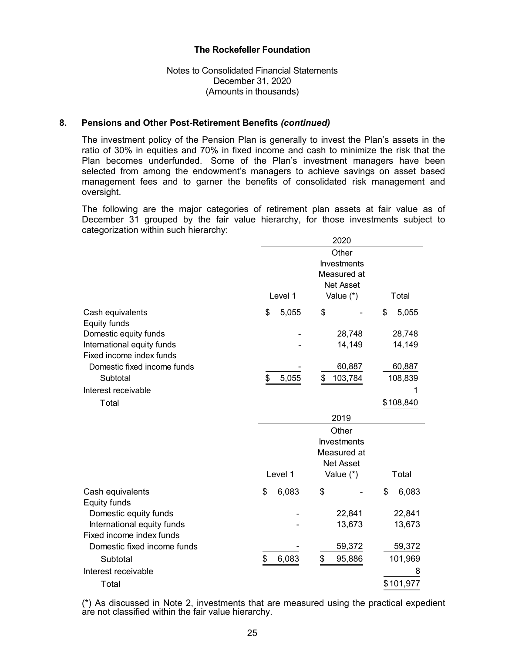#### Notes to Consolidated Financial Statements December 31, 2020 (Amounts in thousands)

#### **8. Pensions and Other Post-Retirement Benefits** *(continued)*

The investment policy of the Pension Plan is generally to invest the Plan's assets in the ratio of 30% in equities and 70% in fixed income and cash to minimize the risk that the Plan becomes underfunded. Some of the Plan's investment managers have been selected from among the endowment's managers to achieve savings on asset based management fees and to garner the benefits of consolidated risk management and oversight.

The following are the major categories of retirement plan assets at fair value as of December 31 grouped by the fair value hierarchy, for those investments subject to categorization within such hierarchy:

|                             | 2020  |         |    |                    |    |           |
|-----------------------------|-------|---------|----|--------------------|----|-----------|
|                             | Other |         |    |                    |    |           |
|                             |       |         |    | <b>Investments</b> |    |           |
|                             |       |         |    | Measured at        |    |           |
|                             |       |         |    | <b>Net Asset</b>   |    |           |
|                             |       | Level 1 |    | Value (*)          |    | Total     |
| Cash equivalents            | \$    | 5,055   | \$ |                    | \$ | 5,055     |
| <b>Equity funds</b>         |       |         |    |                    |    |           |
| Domestic equity funds       |       |         |    | 28,748             |    | 28,748    |
| International equity funds  |       |         |    | 14,149             |    | 14,149    |
| Fixed income index funds    |       |         |    |                    |    |           |
| Domestic fixed income funds |       |         |    | 60,887             |    | 60,887    |
| Subtotal                    | \$    | 5,055   | \$ | 103,784            |    | 108,839   |
| Interest receivable         |       |         |    |                    |    | 1         |
| Total                       |       |         |    |                    |    | \$108,840 |
|                             |       |         |    | 2019               |    |           |
|                             |       |         |    | Other              |    |           |
|                             |       |         |    | Investments        |    |           |
|                             |       |         |    | Measured at        |    |           |
|                             |       |         |    | <b>Net Asset</b>   |    |           |
|                             |       | Level 1 |    | Value (*)          |    | Total     |
|                             |       |         |    |                    |    |           |
| Cash equivalents            | \$    | 6,083   | \$ |                    | \$ | 6,083     |
| <b>Equity funds</b>         |       |         |    |                    |    |           |
| Domestic equity funds       |       |         |    | 22,841             |    | 22,841    |
| International equity funds  |       |         |    | 13,673             |    | 13,673    |
| Fixed income index funds    |       |         |    |                    |    |           |
| Domestic fixed income funds |       |         |    | 59,372             |    | 59,372    |
| Subtotal                    | \$    | 6,083   | \$ | 95,886             |    | 101,969   |
| Interest receivable         |       |         |    |                    |    | 8         |
| Total                       |       |         |    |                    |    | \$101,977 |

(\*) As discussed in Note 2, investments that are measured using the practical expedient are not classified within the fair value hierarchy.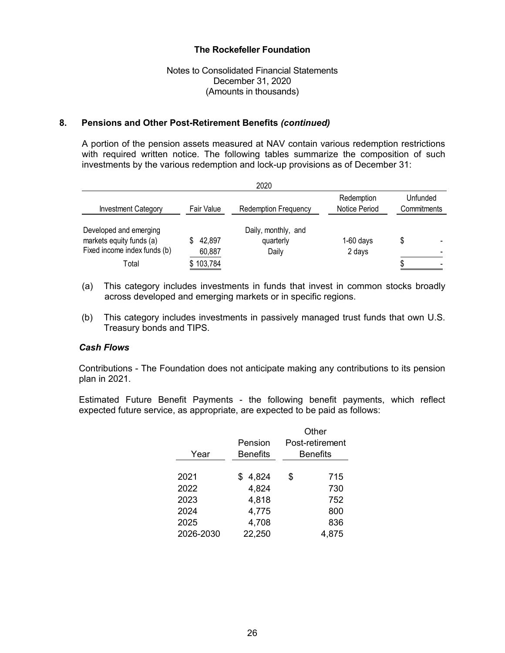Notes to Consolidated Financial Statements December 31, 2020 (Amounts in thousands)

#### **8. Pensions and Other Post-Retirement Benefits** *(continued)*

A portion of the pension assets measured at NAV contain various redemption restrictions with required written notice. The following tables summarize the composition of such investments by the various redemption and lock-up provisions as of December 31:

| 2020                                                                               |                  |                                           |                             |                         |  |
|------------------------------------------------------------------------------------|------------------|-------------------------------------------|-----------------------------|-------------------------|--|
| <b>Investment Category</b>                                                         | Fair Value       | <b>Redemption Frequency</b>               | Redemption<br>Notice Period | Unfunded<br>Commitments |  |
| Developed and emerging<br>markets equity funds (a)<br>Fixed income index funds (b) | 42,897<br>60,887 | Daily, monthly, and<br>quarterly<br>Daily | $1-60$ days<br>2 days       | \$                      |  |
| Total                                                                              | \$103,784        |                                           |                             |                         |  |

- (a) This category includes investments in funds that invest in common stocks broadly across developed and emerging markets or in specific regions.
- (b) This category includes investments in passively managed trust funds that own U.S. Treasury bonds and TIPS.

#### *Cash Flows*

Contributions - The Foundation does not anticipate making any contributions to its pension plan in 2021.

Estimated Future Benefit Payments - the following benefit payments, which reflect expected future service, as appropriate, are expected to be paid as follows:

|           |                 |          | Other           |
|-----------|-----------------|----------|-----------------|
|           | Pension         |          | Post-retirement |
| Year      | <b>Benefits</b> | Benefits |                 |
|           |                 |          |                 |
| 2021      | 4,824<br>\$     | \$       | 715             |
| 2022      | 4,824           |          | 730             |
| 2023      | 4,818           |          | 752             |
| 2024      | 4,775           |          | 800             |
| 2025      | 4,708           |          | 836             |
| 2026-2030 | 22,250          |          | 4,875           |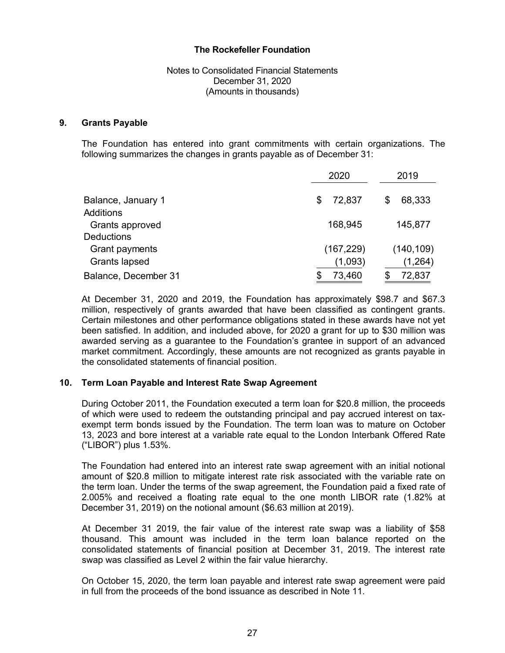Notes to Consolidated Financial Statements December 31, 2020 (Amounts in thousands)

#### **9. Grants Payable**

The Foundation has entered into grant commitments with certain organizations. The following summarizes the changes in grants payable as of December 31:

|                      | 2020        | 2019         |  |
|----------------------|-------------|--------------|--|
| Balance, January 1   | 72,837<br>S | 68,333<br>\$ |  |
| <b>Additions</b>     |             |              |  |
| Grants approved      | 168,945     | 145,877      |  |
| <b>Deductions</b>    |             |              |  |
| Grant payments       | (167, 229)  | (140, 109)   |  |
| Grants lapsed        | (1,093)     | (1, 264)     |  |
| Balance, December 31 | 73,460      | 72,837       |  |

At December 31, 2020 and 2019, the Foundation has approximately \$98.7 and \$67.3 million, respectively of grants awarded that have been classified as contingent grants. Certain milestones and other performance obligations stated in these awards have not yet been satisfied. In addition, and included above, for 2020 a grant for up to \$30 million was awarded serving as a guarantee to the Foundation's grantee in support of an advanced market commitment. Accordingly, these amounts are not recognized as grants payable in the consolidated statements of financial position.

#### **10. Term Loan Payable and Interest Rate Swap Agreement**

During October 2011, the Foundation executed a term loan for \$20.8 million, the proceeds of which were used to redeem the outstanding principal and pay accrued interest on taxexempt term bonds issued by the Foundation. The term loan was to mature on October 13, 2023 and bore interest at a variable rate equal to the London Interbank Offered Rate ("LIBOR") plus 1.53%.

The Foundation had entered into an interest rate swap agreement with an initial notional amount of \$20.8 million to mitigate interest rate risk associated with the variable rate on the term loan. Under the terms of the swap agreement, the Foundation paid a fixed rate of 2.005% and received a floating rate equal to the one month LIBOR rate (1.82% at December 31, 2019) on the notional amount (\$6.63 million at 2019).

At December 31 2019, the fair value of the interest rate swap was a liability of \$58 thousand. This amount was included in the term loan balance reported on the consolidated statements of financial position at December 31, 2019. The interest rate swap was classified as Level 2 within the fair value hierarchy.

On October 15, 2020, the term loan payable and interest rate swap agreement were paid in full from the proceeds of the bond issuance as described in Note 11.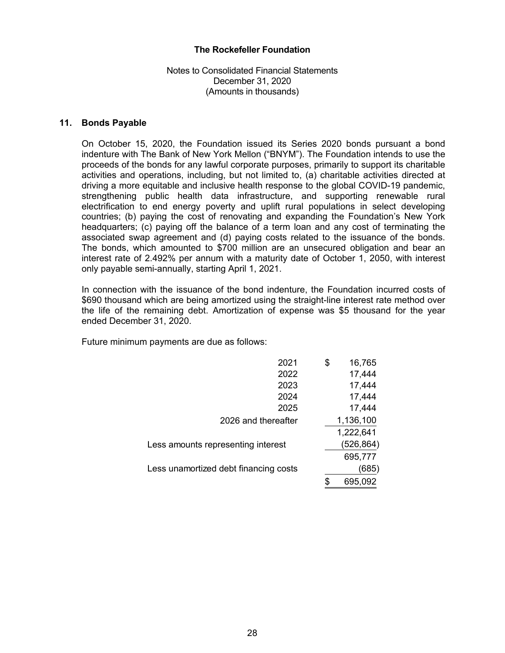#### Notes to Consolidated Financial Statements December 31, 2020 (Amounts in thousands)

#### **11. Bonds Payable**

On October 15, 2020, the Foundation issued its Series 2020 bonds pursuant a bond indenture with The Bank of New York Mellon ("BNYM"). The Foundation intends to use the proceeds of the bonds for any lawful corporate purposes, primarily to support its charitable activities and operations, including, but not limited to, (a) charitable activities directed at driving a more equitable and inclusive health response to the global COVID-19 pandemic, strengthening public health data infrastructure, and supporting renewable rural electrification to end energy poverty and uplift rural populations in select developing countries; (b) paying the cost of renovating and expanding the Foundation's New York headquarters; (c) paying off the balance of a term loan and any cost of terminating the associated swap agreement and (d) paying costs related to the issuance of the bonds. The bonds, which amounted to \$700 million are an unsecured obligation and bear an interest rate of 2.492% per annum with a maturity date of October 1, 2050, with interest only payable semi-annually, starting April 1, 2021.

In connection with the issuance of the bond indenture, the Foundation incurred costs of \$690 thousand which are being amortized using the straight-line interest rate method over the life of the remaining debt. Amortization of expense was \$5 thousand for the year ended December 31, 2020.

Future minimum payments are due as follows:

| 2021                                  | \$ | 16,765     |
|---------------------------------------|----|------------|
| 2022                                  |    | 17,444     |
| 2023                                  |    | 17,444     |
| 2024                                  |    | 17,444     |
| 2025                                  |    | 17,444     |
| 2026 and thereafter                   |    | 1,136,100  |
|                                       |    | 1,222,641  |
| Less amounts representing interest    |    | (526, 864) |
|                                       |    | 695,777    |
| Less unamortized debt financing costs |    | (685)      |
|                                       | \$ | 695,092    |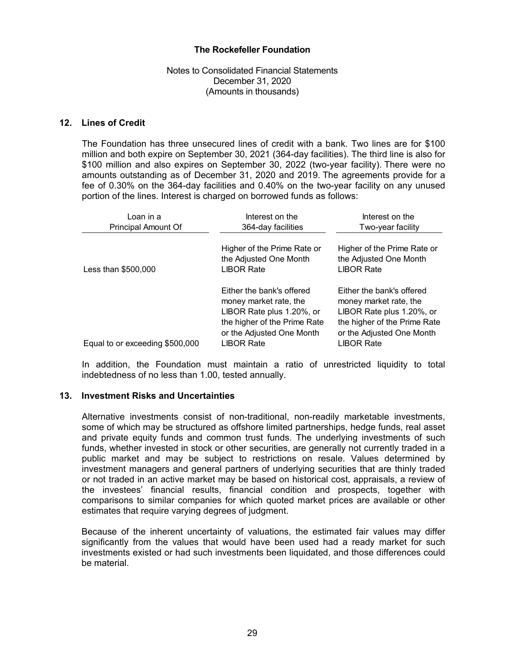#### Notes to Consolidated Financial Statements December 31, 2020 (Amounts in thousands)

# **12. Lines of Credit**

The Foundation has three unsecured lines of credit with a bank. Two lines are for \$100 million and both expire on September 30, 2021 (364-day facilities). The third line is also for \$100 million and also expires on September 30, 2022 (two-year facility). There were no amounts outstanding as of December 31, 2020 and 2019. The agreements provide for a fee of 0.30% on the 364-day facilities and 0.40% on the two-year facility on any unused portion of the lines. Interest is charged on borrowed funds as follows:

| Loan in a<br>Principal Amount Of | Interest on the<br>364-day facilities                                                                                                                              | Interest on the<br>Two-year facility                                                                                                                               |
|----------------------------------|--------------------------------------------------------------------------------------------------------------------------------------------------------------------|--------------------------------------------------------------------------------------------------------------------------------------------------------------------|
| Less than \$500,000              | Higher of the Prime Rate or<br>the Adjusted One Month<br><b>LIBOR Rate</b>                                                                                         | Higher of the Prime Rate or<br>the Adjusted One Month<br><b>LIBOR Rate</b>                                                                                         |
| Equal to or exceeding \$500,000  | Either the bank's offered<br>money market rate, the<br>LIBOR Rate plus 1.20%, or<br>the higher of the Prime Rate<br>or the Adjusted One Month<br><b>LIBOR Rate</b> | Either the bank's offered<br>money market rate, the<br>LIBOR Rate plus 1.20%, or<br>the higher of the Prime Rate<br>or the Adjusted One Month<br><b>LIBOR Rate</b> |

In addition, the Foundation must maintain a ratio of unrestricted liquidity to total indebtedness of no less than 1.00, tested annually.

#### **13. Investment Risks and Uncertainties**

Alternative investments consist of non-traditional, non-readily marketable investments, some of which may be structured as offshore limited partnerships, hedge funds, real asset and private equity funds and common trust funds. The underlying investments of such funds, whether invested in stock or other securities, are generally not currently traded in a public market and may be subject to restrictions on resale. Values determined by investment managers and general partners of underlying securities that are thinly traded or not traded in an active market may be based on historical cost, appraisals, a review of the investees' financial results, financial condition and prospects, together with comparisons to similar companies for which quoted market prices are available or other estimates that require varying degrees of judgment.

Because of the inherent uncertainty of valuations, the estimated fair values may differ significantly from the values that would have been used had a ready market for such investments existed or had such investments been liquidated, and those differences could be material.